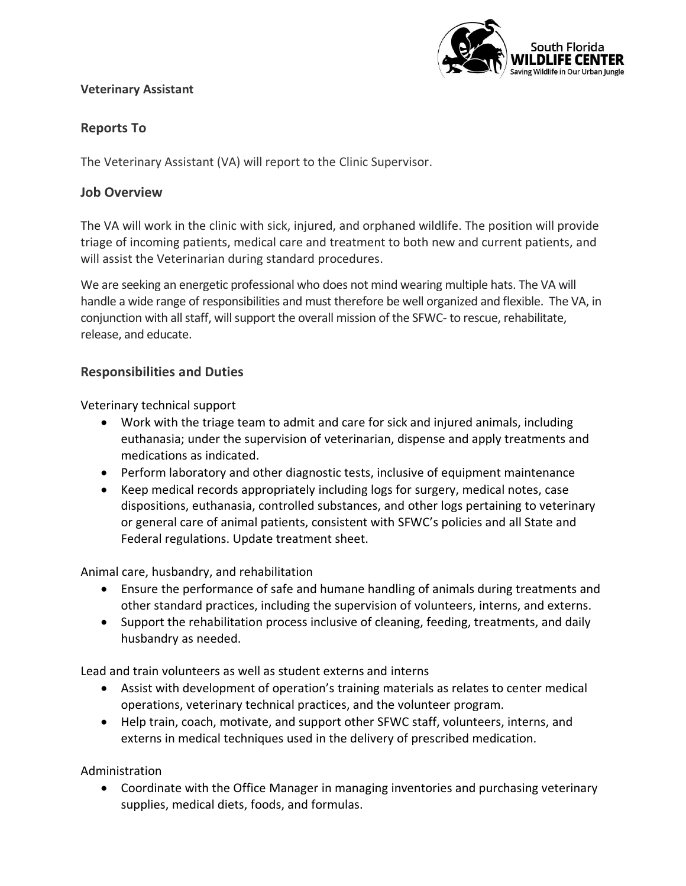# South Florida ILDLIFE CENTER Saving Wildlife in Our Urban Jungle

### **Veterinary Assistant**

# **Reports To**

The Veterinary Assistant (VA) will report to the Clinic Supervisor.

### **Job Overview**

The VA will work in the clinic with sick, injured, and orphaned wildlife. The position will provide triage of incoming patients, medical care and treatment to both new and current patients, and will assist the Veterinarian during standard procedures.

We are seeking an energetic professional who does not mind wearing multiple hats. The VA will handle a wide range of responsibilities and must therefore be well organized and flexible. The VA, in conjunction with all staff, will support the overall mission of the SFWC- to rescue, rehabilitate, release, and educate.

## **Responsibilities and Duties**

Veterinary technical support

- Work with the triage team to admit and care for sick and injured animals, including euthanasia; under the supervision of veterinarian, dispense and apply treatments and medications as indicated.
- Perform laboratory and other diagnostic tests, inclusive of equipment maintenance
- Keep medical records appropriately including logs for surgery, medical notes, case dispositions, euthanasia, controlled substances, and other logs pertaining to veterinary or general care of animal patients, consistent with SFWC's policies and all State and Federal regulations. Update treatment sheet.

Animal care, husbandry, and rehabilitation

- Ensure the performance of safe and humane handling of animals during treatments and other standard practices, including the supervision of volunteers, interns, and externs.
- Support the rehabilitation process inclusive of cleaning, feeding, treatments, and daily husbandry as needed.

Lead and train volunteers as well as student externs and interns

- Assist with development of operation's training materials as relates to center medical operations, veterinary technical practices, and the volunteer program.
- Help train, coach, motivate, and support other SFWC staff, volunteers, interns, and externs in medical techniques used in the delivery of prescribed medication.

Administration

• Coordinate with the Office Manager in managing inventories and purchasing veterinary supplies, medical diets, foods, and formulas.